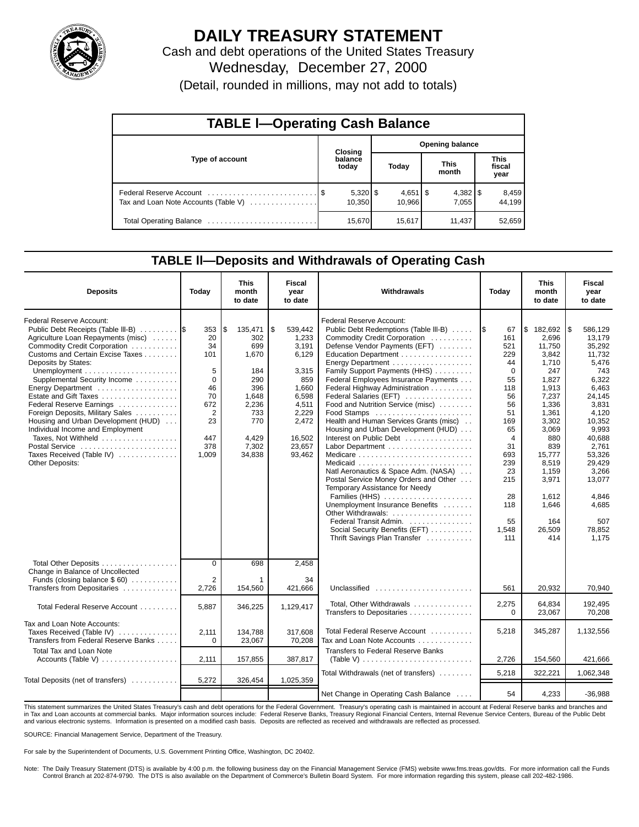

# **DAILY TREASURY STATEMENT**

Cash and debt operations of the United States Treasury Wednesday, December 27, 2000

| (Detail, rounded in millions, may not add to totals) |  |  |  |  |
|------------------------------------------------------|--|--|--|--|
|------------------------------------------------------|--|--|--|--|

| <b>TABLE I-Operating Cash Balance</b> |  |                  |                        |                              |                      |                       |                               |                 |  |  |
|---------------------------------------|--|------------------|------------------------|------------------------------|----------------------|-----------------------|-------------------------------|-----------------|--|--|
|                                       |  | <b>Closing</b>   | <b>Opening balance</b> |                              |                      |                       |                               |                 |  |  |
| Type of account                       |  | balance<br>today | Today                  |                              | <b>This</b><br>month |                       | <b>This</b><br>fiscal<br>year |                 |  |  |
| Tax and Loan Note Accounts (Table V)  |  | 10.350           |                        | $4,651$ $\sqrt{5}$<br>10.966 |                      | $4,382$   \$<br>7.055 |                               | 8,459<br>44,199 |  |  |
|                                       |  | 15,670           |                        | 15,617                       |                      | 11.437                |                               | 52,659          |  |  |

### **TABLE ll—Deposits and Withdrawals of Operating Cash**

| <b>Deposits</b>                                                                                                                                                                                                                                                                                                                                                                                                                                                                                                   | Today                                                                                        | This<br>month<br>to date                                                                                               | <b>Fiscal</b><br>year<br>to date                                                                                                    | Withdrawals                                                                                                                                                                                                                                                                                                                                                                                                                                                                                                                                                                                                                                                                                                                                                                     | Today                                                                                                                                                                 | <b>This</b><br>month<br>to date                                                                                                                                                                                        | <b>Fiscal</b><br>year<br>to date                                                                                                                                                                                                    |
|-------------------------------------------------------------------------------------------------------------------------------------------------------------------------------------------------------------------------------------------------------------------------------------------------------------------------------------------------------------------------------------------------------------------------------------------------------------------------------------------------------------------|----------------------------------------------------------------------------------------------|------------------------------------------------------------------------------------------------------------------------|-------------------------------------------------------------------------------------------------------------------------------------|---------------------------------------------------------------------------------------------------------------------------------------------------------------------------------------------------------------------------------------------------------------------------------------------------------------------------------------------------------------------------------------------------------------------------------------------------------------------------------------------------------------------------------------------------------------------------------------------------------------------------------------------------------------------------------------------------------------------------------------------------------------------------------|-----------------------------------------------------------------------------------------------------------------------------------------------------------------------|------------------------------------------------------------------------------------------------------------------------------------------------------------------------------------------------------------------------|-------------------------------------------------------------------------------------------------------------------------------------------------------------------------------------------------------------------------------------|
| Federal Reserve Account:<br>Public Debt Receipts (Table III-B)<br>Agriculture Loan Repayments (misc)<br>Commodity Credit Corporation<br>Customs and Certain Excise Taxes<br>Deposits by States:<br>Supplemental Security Income<br>Energy Department<br>Estate and Gift Taxes<br>Federal Reserve Earnings<br>Foreign Deposits, Military Sales<br>Housing and Urban Development (HUD)<br>Individual Income and Employment<br>Taxes, Not Withheld<br>Postal Service<br>Taxes Received (Table IV)<br>Other Deposits: | 353<br>20<br>34<br>101<br>5<br>$\Omega$<br>46<br>70<br>672<br>2<br>23<br>447<br>378<br>1,009 | l\$<br>135,471<br>302<br>699<br>1,670<br>184<br>290<br>396<br>1,648<br>2,236<br>733<br>770<br>4,429<br>7,302<br>34,838 | \$<br>539,442<br>1,233<br>3,191<br>6,129<br>3,315<br>859<br>1.660<br>6,598<br>4,511<br>2,229<br>2,472<br>16,502<br>23,657<br>93,462 | Federal Reserve Account:<br>Public Debt Redemptions (Table III-B)<br>Commodity Credit Corporation<br>Defense Vendor Payments (EFT)<br>Education Department<br>Energy Department<br>Family Support Payments (HHS)<br>Federal Employees Insurance Payments<br>Federal Highway Administration<br>Federal Salaries (EFT)<br>Food and Nutrition Service (misc)<br>Food Stamps<br>Health and Human Services Grants (misc)<br>Housing and Urban Development (HUD)<br>Interest on Public Debt<br>Natl Aeronautics & Space Adm. (NASA)<br>Postal Service Money Orders and Other<br>Temporary Assistance for Needy<br>Families (HHS)<br>Unemployment Insurance Benefits<br>Other Withdrawals:<br>Federal Transit Admin.<br>Social Security Benefits (EFT)<br>Thrift Savings Plan Transfer | 1\$<br>67<br>161<br>521<br>229<br>44<br>$\Omega$<br>55<br>118<br>56<br>56<br>51<br>169<br>65<br>4<br>31<br>693<br>239<br>23<br>215<br>28<br>118<br>55<br>1,548<br>111 | l\$<br>182,692<br>2.696<br>11,750<br>3.842<br>1,710<br>247<br>1.827<br>1.913<br>7,237<br>1,336<br>1,361<br>3,302<br>3,069<br>880<br>839<br>15,777<br>8,519<br>1,159<br>3,971<br>1,612<br>1,646<br>164<br>26,509<br>414 | l\$<br>586,129<br>13.179<br>35,292<br>11,732<br>5,476<br>743<br>6,322<br>6.463<br>24.145<br>3.831<br>4,120<br>10,352<br>9,993<br>40,688<br>2,761<br>53,326<br>29,429<br>3,266<br>13,077<br>4,846<br>4,685<br>507<br>78,852<br>1.175 |
| Total Other Deposits<br>Change in Balance of Uncollected<br>Funds (closing balance $$60$ )<br>Transfers from Depositaries                                                                                                                                                                                                                                                                                                                                                                                         | $\mathbf 0$<br>2<br>2,726                                                                    | 698<br>154,560                                                                                                         | 2,458<br>34<br>421,666                                                                                                              | Unclassified                                                                                                                                                                                                                                                                                                                                                                                                                                                                                                                                                                                                                                                                                                                                                                    | 561                                                                                                                                                                   | 20,932                                                                                                                                                                                                                 | 70,940                                                                                                                                                                                                                              |
| Total Federal Reserve Account                                                                                                                                                                                                                                                                                                                                                                                                                                                                                     | 5.887                                                                                        | 346,225                                                                                                                | 1,129,417                                                                                                                           | Total, Other Withdrawals<br>Transfers to Depositaries                                                                                                                                                                                                                                                                                                                                                                                                                                                                                                                                                                                                                                                                                                                           | 2,275<br>$\Omega$                                                                                                                                                     | 64,834<br>23,067                                                                                                                                                                                                       | 192,495<br>70,208                                                                                                                                                                                                                   |
| Tax and Loan Note Accounts:<br>Taxes Received (Table IV)<br>Transfers from Federal Reserve Banks                                                                                                                                                                                                                                                                                                                                                                                                                  | 2,111<br>$\Omega$                                                                            | 134,788<br>23,067                                                                                                      | 317,608<br>70,208                                                                                                                   | Total Federal Reserve Account<br>Tax and Loan Note Accounts                                                                                                                                                                                                                                                                                                                                                                                                                                                                                                                                                                                                                                                                                                                     | 5,218                                                                                                                                                                 | 345,287                                                                                                                                                                                                                | 1,132,556                                                                                                                                                                                                                           |
| Total Tax and Loan Note<br>Accounts (Table V) $\dots \dots \dots \dots \dots$                                                                                                                                                                                                                                                                                                                                                                                                                                     | 2,111                                                                                        | 157,855                                                                                                                | 387,817                                                                                                                             | <b>Transfers to Federal Reserve Banks</b><br>(Table V) $\ldots \ldots \ldots \ldots \ldots \ldots \ldots \ldots$                                                                                                                                                                                                                                                                                                                                                                                                                                                                                                                                                                                                                                                                | 2,726                                                                                                                                                                 | 154,560                                                                                                                                                                                                                | 421.666                                                                                                                                                                                                                             |
| Total Deposits (net of transfers)                                                                                                                                                                                                                                                                                                                                                                                                                                                                                 | 5,272                                                                                        | 326,454                                                                                                                | 1,025,359                                                                                                                           | Total Withdrawals (net of transfers)                                                                                                                                                                                                                                                                                                                                                                                                                                                                                                                                                                                                                                                                                                                                            | 5,218                                                                                                                                                                 | 322,221                                                                                                                                                                                                                | 1,062,348                                                                                                                                                                                                                           |
|                                                                                                                                                                                                                                                                                                                                                                                                                                                                                                                   |                                                                                              |                                                                                                                        |                                                                                                                                     | Net Change in Operating Cash Balance                                                                                                                                                                                                                                                                                                                                                                                                                                                                                                                                                                                                                                                                                                                                            | 54                                                                                                                                                                    | 4,233                                                                                                                                                                                                                  | $-36,988$                                                                                                                                                                                                                           |

This statement summarizes the United States Treasury's cash and debt operations for the Federal Government. Treasury's operating cash is maintained in account at Federal Reserve banks and branches and<br>in Tax and Loan accou and various electronic systems. Information is presented on a modified cash basis. Deposits are reflected as received and withdrawals are reflected as processed.

SOURCE: Financial Management Service, Department of the Treasury.

For sale by the Superintendent of Documents, U.S. Government Printing Office, Washington, DC 20402.

Note: The Daily Treasury Statement (DTS) is available by 4:00 p.m. the following business day on the Financial Management Service (FMS) website www.fms.treas.gov/dts. For more information call the Funds Control Branch at 202-874-9790. The DTS is also available on the Department of Commerce's Bulletin Board System. For more information regarding this system, please call 202-482-1986.